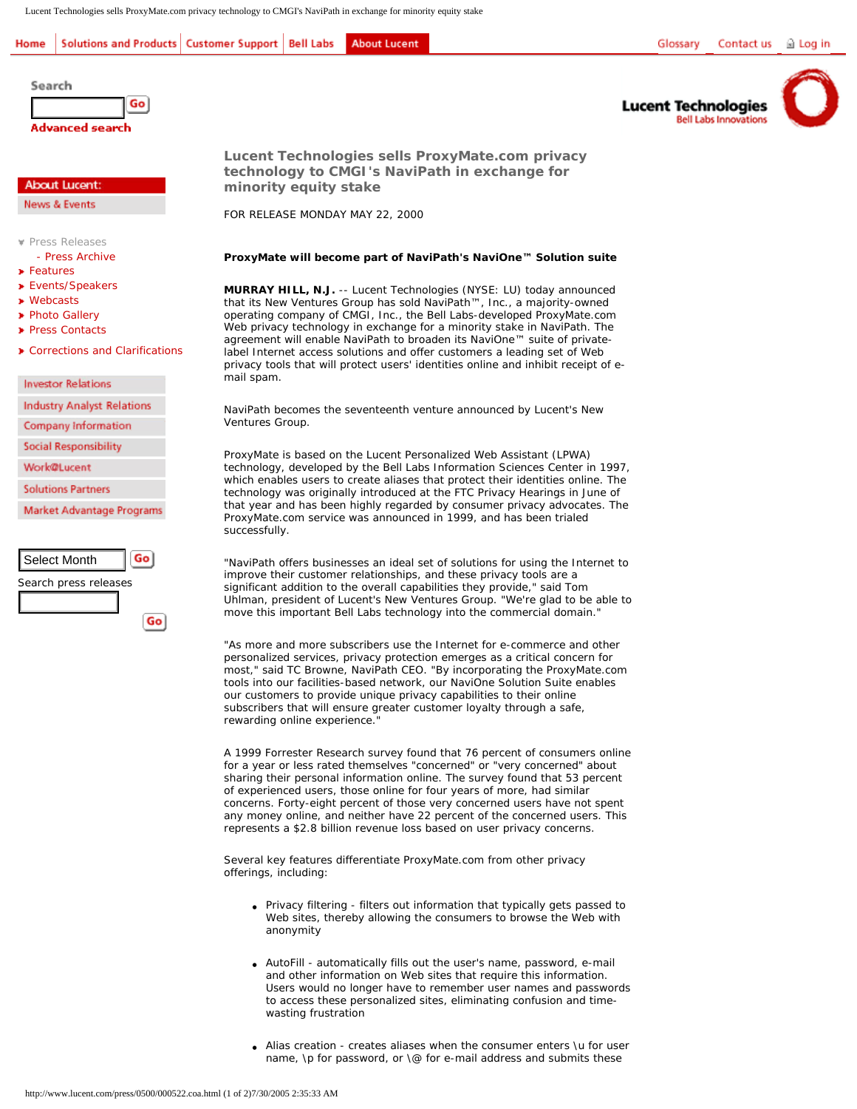Lucent Technologies sells ProxyMate.com privacy technology to CMGI's NaviPath in exchange for minority equity stake

## Solutions and Products | Customer Support | Bell Labs **About Lucent** Home



```
Lucent Technologies
Bell Labs Innovations
```


**Advanced search** 

Go

## **About Lucent:**

News & Events

Search

**[Press Releases](http://www.lucent.com/press/)** 

- [Press Archive](http://www.lucent.com/press/monthIndex.html)
- **B** [Features](http://www.lucent.com/news_events/archive.html)
- **[Events/Speakers](http://www.lucent.com/events/archive/0,,inDocTypeId+7-inPageNumber+1-inByLocation+0,00.html)**
- **»** [Webcasts](http://www.lucent.com/news_events/webcast/index.html)
- **[Photo Gallery](http://www.lucent.com/news_events/gallery/executives.html)**
- **[Press Contacts](http://www.lucent.com/news_events/prc.html)**
- **[Corrections and Clarifications](http://www.lucent.com/news_events/correct_clarify.html)**

**Investor Relations** 

**Industry Analyst Relations** 

Company Information

**Social Responsibility** 

- **Work@Lucent**
- **Solutions Partners**

Market Advantage Programs



**Lucent Technol[ogies sells ProxyM](http://www.lucent.com/social/)ate.com privacy technology to C[MGI](http://www.lucent.com/work/work.html)'[s NaviP](http://www.lucent.com/work/work.html)ath in exchange for minority equity [stake](http://www.lucent.com/inside/alumni)** 

FOR RELEASE MONDA[Y MAY 22, 2000](http://www.lucent.com/map/solutions/) 

## **ProxyMate will beco[me part of](http://www.lucent.com/map/) NaviPath's NaviOne™ Solution suite**

**MURRAY HILL, N.J.** -- Lucent Technologies (NYSE: LU) today announced that its New Ventures Group has sold NaviPath™, Inc., a majority-owned operating company of CMGI, Inc., the Bell Labs-developed ProxyMate.com Web privacy technology in exchange for a minority stake in NaviPath. The agreement will enable NaviPath to broaden its NaviOne™ suite of privatelabel Internet access solutions and offer customers a leading set of Web privacy tools that will protect users' identities online and inhibit receipt of email spam.

NaviPath becomes the seventeenth venture announced by Lucent's New Ventures Group.

ProxyMate is based on the Lucent Personalized Web Assistant (LPWA) technology, developed by the Bell Labs Information Sciences Center in 1997, which enables users to create aliases that protect their identities online. The technology was originally introduced at the FTC Privacy Hearings in June of that year and has been highly regarded by consumer privacy advocates. The ProxyMate.com service was announced in 1999, and has been trialed successfully.

"NaviPath offers businesses an ideal set of solutions for using the Internet to improve their customer relationships, and these privacy tools are a significant addition to the overall capabilities they provide," said Tom Uhlman, president of Lucent's New Ventures Group. "We're glad to be able to move this important Bell Labs technology into the commercial domain."

"As more and more subscribers use the Internet for e-commerce and other personalized services, privacy protection emerges as a critical concern for most," said TC Browne, NaviPath CEO. "By incorporating the ProxyMate.com tools into our facilities-based network, our NaviOne Solution Suite enables our customers to provide unique privacy capabilities to their online subscribers that will ensure greater customer loyalty through a safe, rewarding online experience."

A 1999 Forrester Research survey found that 76 percent of consumers online for a year or less rated themselves "concerned" or "very concerned" about sharing their personal information online. The survey found that 53 percent of experienced users, those online for four years of more, had similar concerns. Forty-eight percent of those very concerned users have not spent any money online, and neither have 22 percent of the concerned users. This represents a \$2.8 billion revenue loss based on user privacy concerns.

Several key features differentiate ProxyMate.com from other privacy offerings, including:

- Privacy filtering filters out information that typically gets passed to Web sites, thereby allowing the consumers to browse the Web with anonymity
- AutoFill automatically fills out the user's name, password, e-mail and other information on Web sites that require this information. Users would no longer have to remember user names and passwords to access these personalized sites, eliminating confusion and timewasting frustration
- Alias creation creates aliases when the consumer enters \u for user name, \p for password, or \@ for e-mail address and submits these